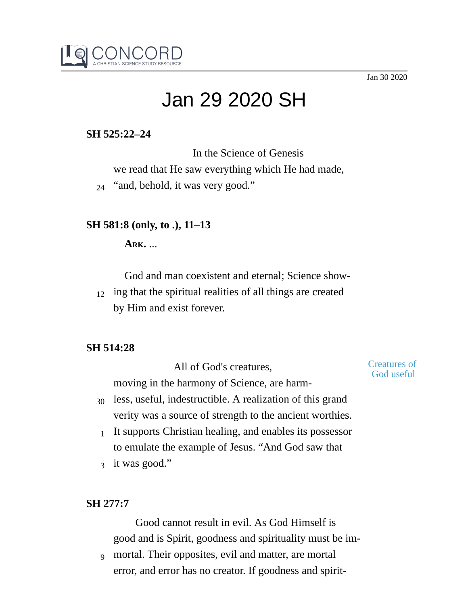Jan 30 2020



# Jan 29 2020 SH

# **SH 525:22–24**

In the Science of Genesis we read that He saw everything which He had made, <sup>24</sup> "and, behold, it was very good."

## **SH 581:8 (only, to .), 11–13**

**ARK.** ...

God and man coexistent and eternal; Science show-

 $_{12}$  ing that the spiritual realities of all things are created by Him and exist forever.

## **SH 514:28**

All of God's creatures, moving in the harmony of Science, are harm-

#### Creatures of God useful

- $_{30}$  less, useful, indestructible. A realization of this grand verity was a source of strength to the ancient worthies.
- $1$  It supports Christian healing, and enables its possessor to emulate the example of Jesus. "And God saw that
- 3 it was good."

## **SH 277:7**

Good cannot result in evil. As God Himself is good and is Spirit, goodness and spirituality must be im-

mortal. Their opposites, evil and matter, are mortal 9error, and error has no creator. If goodness and spirit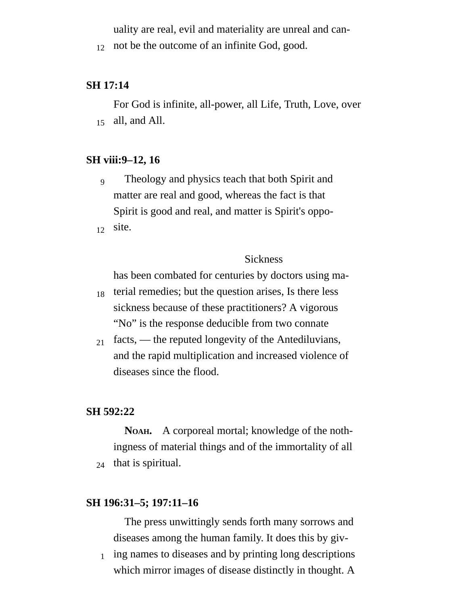uality are real, evil and materiality are unreal and can-

12 not be the outcome of an infinite God, good.

#### **SH 17:14**

For God is infinite, all-power, all Life, Truth, Love, over  $_{15}$  all, and All.

#### **SH viii:9–12, 16**

- Theology and physics teach that both Spirit and matter are real and good, whereas the fact is that Spirit is good and real, and matter is Spirit's oppo-9
- site. 12

#### **Sickness**

has been combated for centuries by doctors using ma-

- terial remedies; but the question arises, Is there less sickness because of these practitioners? A vigorous "No" is the response deducible from two connate 18
- facts, the reputed longevity of the Antediluvians, and the rapid multiplication and increased violence of diseases since the flood. 21

#### **SH 592:22**

**NOAH.** A corporeal mortal; knowledge of the nothingness of material things and of the immortality of all <sup>24</sup> that is spiritual.

#### **SH 196:31–5; 197:11–16**

The press unwittingly sends forth many sorrows and diseases among the human family. It does this by giv-

ing names to diseases and by printing long descriptions which mirror images of disease distinctly in thought. A 1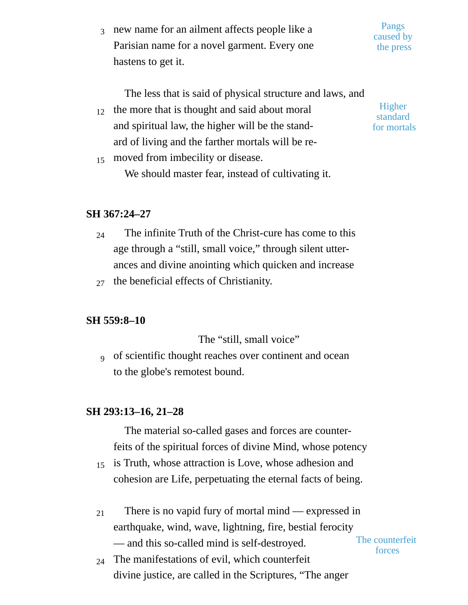$_3$  new name for an ailment affects people like a Parisian name for a novel garment. Every one hastens to get it. Pangs caused by the press

The less that is said of physical structure and laws, and

the more that is thought and said about moral and spiritual law, the higher will be the standard of living and the farther mortals will be re-12

**Higher** standard for mortals

forces

moved from imbecility or disease. We should master fear, instead of cultivating it.

# **SH 367:24–27**

15

- The infinite Truth of the Christ-cure has come to this age through a "still, small voice," through silent utterances and divine anointing which quicken and increase 24
- $_{27}$  the beneficial effects of Christianity.

## **SH 559:8–10**

The "still, small voice"

of scientific thought reaches over continent and ocean to the globe's remotest bound. 9

## **SH 293:13–16, 21–28**

The material so-called gases and forces are counterfeits of the spiritual forces of divine Mind, whose potency

- is Truth, whose attraction is Love, whose adhesion and cohesion are Life, perpetuating the eternal facts of being. 15
- There is no vapid fury of mortal mind expressed in earthquake, wind, wave, lightning, fire, bestial ferocity — and this so-called mind is self-destroyed. 21 The counterfeit
- The manifestations of evil, which counterfeit divine justice, are called in the Scriptures, "The anger 24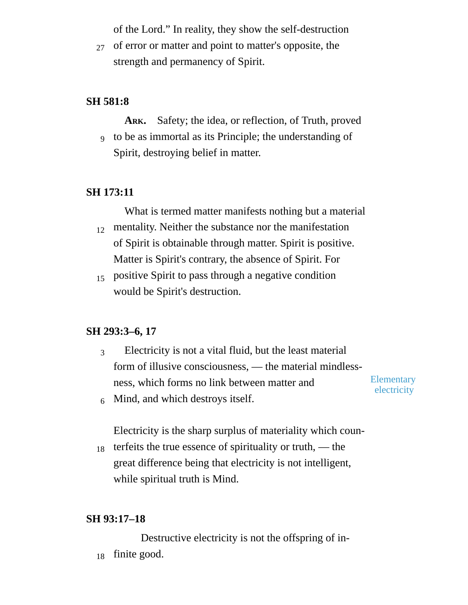of the Lord." In reality, they show the self-destruction

27 of error or matter and point to matter's opposite, the strength and permanency of Spirit.

# **SH 581:8**

- **ARK.** Safety; the idea, or reflection, of Truth, proved
- to be as immortal as its Principle; the understanding of 9 Spirit, destroying belief in matter.

# **SH 173:11**

What is termed matter manifests nothing but a material

- mentality. Neither the substance nor the manifestation of Spirit is obtainable through matter. Spirit is positive. Matter is Spirit's contrary, the absence of Spirit. For 12
- positive Spirit to pass through a negative condition 15 would be Spirit's destruction.

# **SH 293:3–6, 17**

Electricity is not a vital fluid, but the least material form of illusive consciousness, — the material mindlessness, which forms no link between matter and 3

Elementary electricity

Mind, and which destroys itself. 6

Electricity is the sharp surplus of materiality which coun-

terfeits the true essence of spirituality or truth, — the great difference being that electricity is not intelligent, while spiritual truth is Mind. 18

## **SH 93:17–18**

Destructive electricity is not the offspring of in-<sup>18</sup> finite good.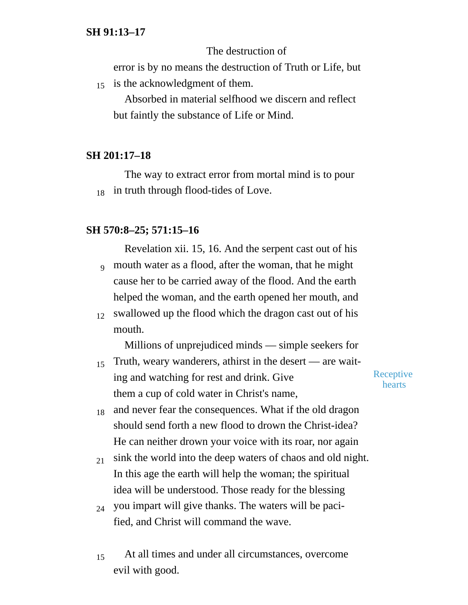## The destruction of

error is by no means the destruction of Truth or Life, but

15 is the acknowledgment of them.

Absorbed in material selfhood we discern and reflect but faintly the substance of Life or Mind.

## **SH 201:17–18**

The way to extract error from mortal mind is to pour  $_{18}$  in truth through flood-tides of Love.

#### **SH 570:8–25; 571:15–16**

Revelation xii. 15, 16. And the serpent cast out of his  $_9$  mouth water as a flood, after the woman, that he might cause her to be carried away of the flood. And the earth helped the woman, and the earth opened her mouth, and

 $_{12}$  swallowed up the flood which the dragon cast out of his mouth.

Millions of unprejudiced minds — simple seekers for

Truth, weary wanderers, athirst in the desert — are waiting and watching for rest and drink. Give them a cup of cold water in Christ's name, 15

**Receptive** hearts

- and never fear the consequences. What if the old dragon should send forth a new flood to drown the Christ-idea? He can neither drown your voice with its roar, nor again 18
- sink the world into the deep waters of chaos and old night. In this age the earth will help the woman; the spiritual idea will be understood. Those ready for the blessing 21
- you impart will give thanks. The waters will be pacified, and Christ will command the wave. 24
- At all times and under all circumstances, overcome evil with good. 15